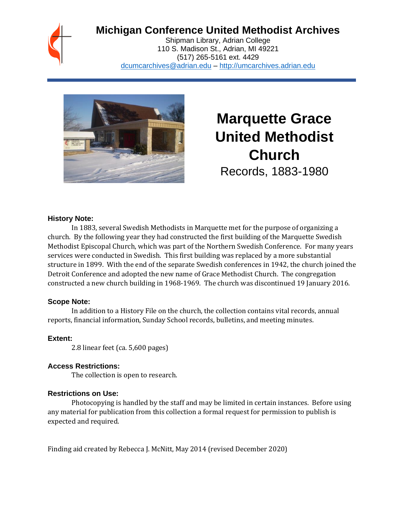# **Michigan Conference United Methodist Archives**

Shipman Library, Adrian College 110 S. Madison St., Adrian, MI 49221 (517) 265-5161 ext. 4429 [dcumcarchives@adrian.edu](mailto:dcumcarchives@adrian.edu) – [http://umcarchives.adrian.edu](http://umcarchives.adrian.edu/)



**Marquette Grace United Methodist Church** Records, 1883-1980

#### **History Note:**

In 1883, several Swedish Methodists in Marquette met for the purpose of organizing a church. By the following year they had constructed the first building of the Marquette Swedish Methodist Episcopal Church, which was part of the Northern Swedish Conference. For many years services were conducted in Swedish. This first building was replaced by a more substantial structure in 1899. With the end of the separate Swedish conferences in 1942, the church joined the Detroit Conference and adopted the new name of Grace Methodist Church. The congregation constructed a new church building in 1968-1969. The church was discontinued 19 January 2016.

#### **Scope Note:**

In addition to a History File on the church, the collection contains vital records, annual reports, financial information, Sunday School records, bulletins, and meeting minutes.

#### **Extent:**

2.8 linear feet (ca. 5,600 pages)

#### **Access Restrictions:**

The collection is open to research.

#### **Restrictions on Use:**

Photocopying is handled by the staff and may be limited in certain instances. Before using any material for publication from this collection a formal request for permission to publish is expected and required.

Finding aid created by Rebecca J. McNitt, May 2014 (revised December 2020)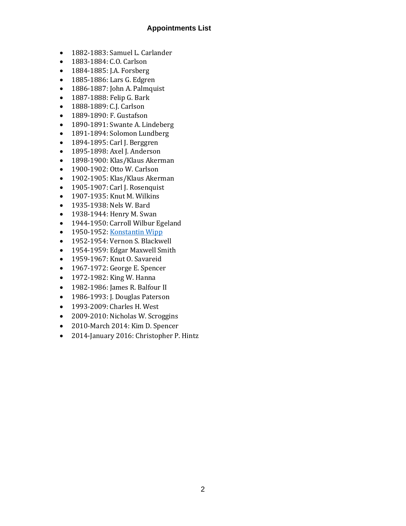### **Appointments List**

- 1882-1883: Samuel L. Carlander
- 1883-1884: C.O. Carlson
- 1884-1885: J.A. Forsberg
- 1885-1886: Lars G. Edgren
- 1886-1887: John A. Palmquist
- 1887-1888: Felip G. Bark
- 1888-1889: C.J. Carlson
- 1889-1890: F. Gustafson
- 1890-1891: Swante A. Lindeberg
- 1891-1894: Solomon Lundberg
- 1894-1895: Carl J. Berggren
- 1895-1898: Axel J. Anderson
- 1898-1900: Klas/Klaus Akerman
- 1900-1902: Otto W. Carlson
- 1902-1905: Klas/Klaus Akerman
- 1905-1907: Carl J. Rosenquist
- 1907-1935: Knut M. Wilkins
- 1935-1938: Nels W. Bard
- 1938-1944: Henry M. Swan
- 1944-1950: Carroll Wilbur Egeland
- 1950-1952[: Konstantin Wipp](http://umcarchives.adrian.edu/clergy/wippk.php)
- 1952-1954: Vernon S. Blackwell
- 1954-1959: Edgar Maxwell Smith
- 1959-1967: Knut O. Savareid
- 1967-1972: George E. Spencer
- 1972-1982: King W. Hanna
- 1982-1986: James R. Balfour II
- 1986-1993: J. Douglas Paterson
- 1993-2009: Charles H. West
- 2009-2010: Nicholas W. Scroggins
- 2010-March 2014: Kim D. Spencer
- 2014-January 2016: Christopher P. Hintz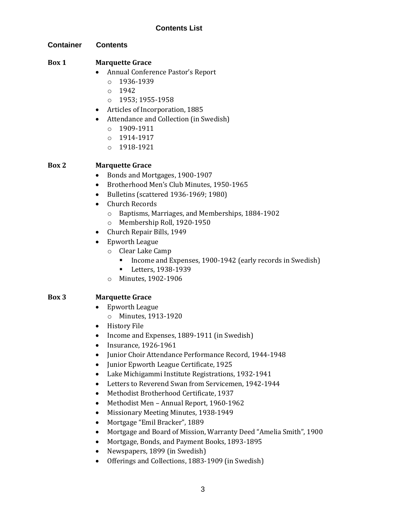## **Contents List**

**Container Contents**

#### **Box 1 Marquette Grace**

- Annual Conference Pastor's Report
	- $o$  1936-1939
	- o 1942
	- o 1953; 1955-1958
- Articles of Incorporation, 1885
- Attendance and Collection (in Swedish)
	- o 1909-1911
	- o 1914-1917
	- o 1918-1921

#### **Box 2 Marquette Grace**

- Bonds and Mortgages, 1900-1907
- Brotherhood Men's Club Minutes, 1950-1965
- Bulletins (scattered 1936-1969; 1980)
- Church Records
	- o Baptisms, Marriages, and Memberships, 1884-1902
	- o Membership Roll, 1920-1950
- Church Repair Bills, 1949
- Epworth League
	- o Clear Lake Camp
		- Income and Expenses, 1900-1942 (early records in Swedish)
		- Letters, 1938-1939
	- o Minutes, 1902-1906

## **Box 3 Marquette Grace**

- Epworth League
	- o Minutes, 1913-1920
- History File
- Income and Expenses, 1889-1911 (in Swedish)
- Insurance, 1926-1961
- Junior Choir Attendance Performance Record, 1944-1948
- Junior Epworth League Certificate, 1925
- Lake Michigammi Institute Registrations, 1932-1941
- Letters to Reverend Swan from Servicemen, 1942-1944
- Methodist Brotherhood Certificate, 1937
- Methodist Men Annual Report, 1960-1962
- Missionary Meeting Minutes, 1938-1949
- Mortgage "Emil Bracker", 1889
- Mortgage and Board of Mission, Warranty Deed "Amelia Smith", 1900
- Mortgage, Bonds, and Payment Books, 1893-1895
- Newspapers, 1899 (in Swedish)
- Offerings and Collections, 1883-1909 (in Swedish)